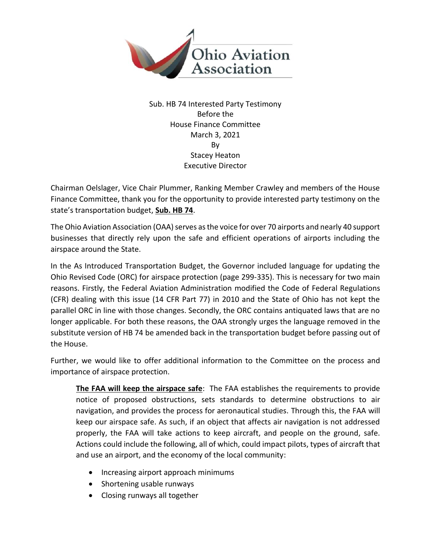

Sub. HB 74 Interested Party Testimony Before the House Finance Committee March 3, 2021 By Stacey Heaton Executive Director

Chairman Oelslager, Vice Chair Plummer, Ranking Member Crawley and members of the House Finance Committee, thank you for the opportunity to provide interested party testimony on the state's transportation budget, **Sub. HB 74**.

The Ohio Aviation Association (OAA) serves as the voice for over 70 airports and nearly 40 support businesses that directly rely upon the safe and efficient operations of airports including the airspace around the State.

In the As Introduced Transportation Budget, the Governor included language for updating the Ohio Revised Code (ORC) for airspace protection (page 299-335). This is necessary for two main reasons. Firstly, the Federal Aviation Administration modified the Code of Federal Regulations (CFR) dealing with this issue (14 CFR Part 77) in 2010 and the State of Ohio has not kept the parallel ORC in line with those changes. Secondly, the ORC contains antiquated laws that are no longer applicable. For both these reasons, the OAA strongly urges the language removed in the substitute version of HB 74 be amended back in the transportation budget before passing out of the House.

Further, we would like to offer additional information to the Committee on the process and importance of airspace protection.

**The FAA will keep the airspace safe**: The FAA establishes the requirements to provide notice of proposed obstructions, sets standards to determine obstructions to air navigation, and provides the process for aeronautical studies. Through this, the FAA will keep our airspace safe. As such, if an object that affects air navigation is not addressed properly, the FAA will take actions to keep aircraft, and people on the ground, safe. Actions could include the following, all of which, could impact pilots, types of aircraft that and use an airport, and the economy of the local community:

- Increasing airport approach minimums
- Shortening usable runways
- Closing runways all together